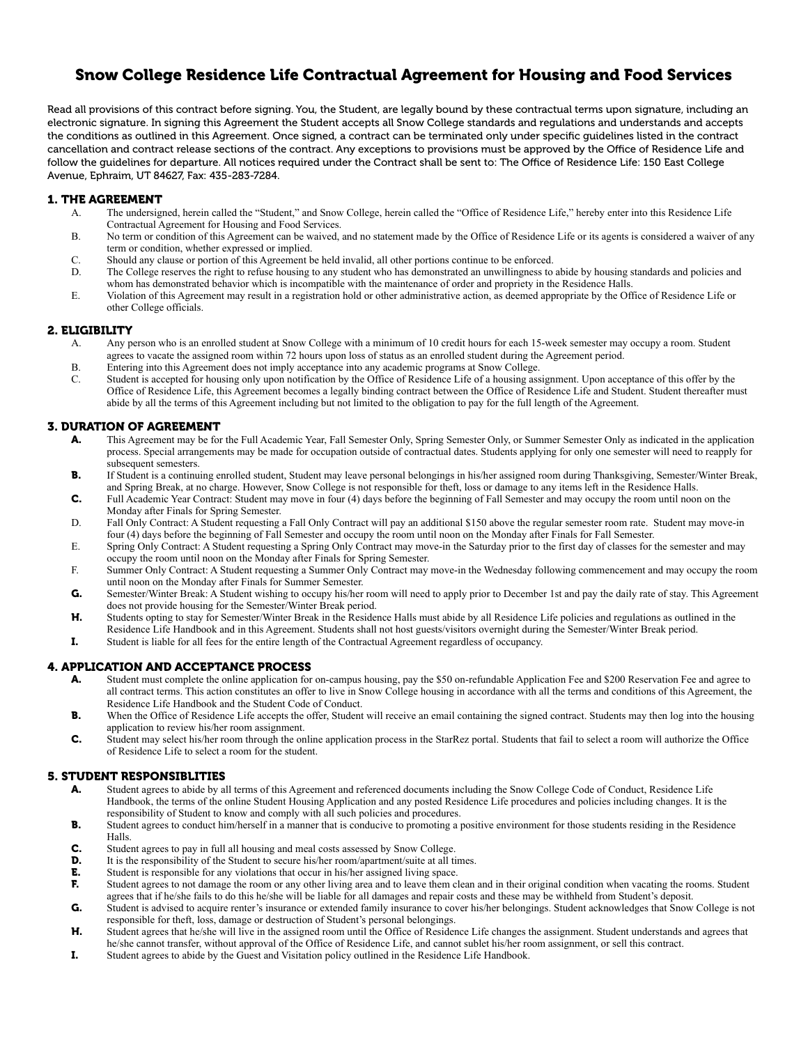# Snow College Residence Life Contractual Agreement for Housing and Food Services

Read all provisions of this contract before signing. You, the Student, are legally bound by these contractual terms upon signature, including an electronic signature. In signing this Agreement the Student accepts all Snow College standards and regulations and understands and accepts the conditions as outlined in this Agreement. Once signed, a contract can be terminated only under specific guidelines listed in the contract cancellation and contract release sections of the contract. Any exceptions to provisions must be approved by the Office of Residence Life and follow the guidelines for departure. All notices required under the Contract shall be sent to: The Office of Residence Life: 150 East College Avenue, Ephraim, UT 84627, Fax: 435-283-7284.

### 1. THE AGREEMENT

- A. The undersigned, herein called the "Student," and Snow College, herein called the "Office of Residence Life," hereby enter into this Residence Life Contractual Agreement for Housing and Food Services.
- B. No term or condition of this Agreement can be waived, and no statement made by the Office of Residence Life or its agents is considered a waiver of any term or condition, whether expressed or implied.
- C. Should any clause or portion of this Agreement be held invalid, all other portions continue to be enforced.
- D. The College reserves the right to refuse housing to any student who has demonstrated an unwillingness to abide by housing standards and policies and whom has demonstrated behavior which is incompatible with the maintenance of order and propriety in the Residence Halls.
- E. Violation of this Agreement may result in a registration hold or other administrative action, as deemed appropriate by the Office of Residence Life or other College officials.

#### 2. ELIGIBILITY

- A. Any person who is an enrolled student at Snow College with a minimum of 10 credit hours for each 15-week semester may occupy a room. Student agrees to vacate the assigned room within 72 hours upon loss of status as an enrolled student during the Agreement period.
- B. Entering into this Agreement does not imply acceptance into any academic programs at Snow College.
- C. Student is accepted for housing only upon notification by the Office of Residence Life of a housing assignment. Upon acceptance of this offer by the Office of Residence Life, this Agreement becomes a legally binding contract between the Office of Residence Life and Student. Student thereafter must abide by all the terms of this Agreement including but not limited to the obligation to pay for the full length of the Agreement.

#### 3. DURATION OF AGREEMENT

- A. This Agreement may be for the Full Academic Year, Fall Semester Only, Spring Semester Only, or Summer Semester Only as indicated in the application process. Special arrangements may be made for occupation outside of contractual dates. Students applying for only one semester will need to reapply for subsequent semesters.
- B. If Student is a continuing enrolled student, Student may leave personal belongings in his/her assigned room during Thanksgiving, Semester/Winter Break, and Spring Break, at no charge. However, Snow College is not responsible for theft, loss or damage to any items left in the Residence Halls.
- C. Full Academic Year Contract: Student may move in four (4) days before the beginning of Fall Semester and may occupy the room until noon on the Monday after Finals for Spring Semester.
- D. Fall Only Contract: A Student requesting a Fall Only Contract will pay an additional \$150 above the regular semester room rate. Student may move-in four (4) days before the beginning of Fall Semester and occupy the room until noon on the Monday after Finals for Fall Semester.
- E. Spring Only Contract: A Student requesting a Spring Only Contract may move-in the Saturday prior to the first day of classes for the semester and may occupy the room until noon on the Monday after Finals for Spring Semester.
- F. Summer Only Contract: A Student requesting a Summer Only Contract may move-in the Wednesday following commencement and may occupy the room until noon on the Monday after Finals for Summer Semester.
- G. Semester/Winter Break: A Student wishing to occupy his/her room will need to apply prior to December 1st and pay the daily rate of stay. This Agreement does not provide housing for the Semester/Winter Break period.
- H. Students opting to stay for Semester/Winter Break in the Residence Halls must abide by all Residence Life policies and regulations as outlined in the Residence Life Handbook and in this Agreement. Students shall not host guests/visitors overnight during the Semester/Winter Break period.
- I. Student is liable for all fees for the entire length of the Contractual Agreement regardless of occupancy.

#### 4. APPLICATION AND ACCEPTANCE PROCESS

- A. Student must complete the online application for on-campus housing, pay the \$50 on-refundable Application Fee and \$200 Reservation Fee and agree to all contract terms. This action constitutes an offer to live in Snow College housing in accordance with all the terms and conditions of this Agreement, the Residence Life Handbook and the Student Code of Conduct.
- B. When the Office of Residence Life accepts the offer, Student will receive an email containing the signed contract. Students may then log into the housing application to review his/her room assignment.
- C. Student may select his/her room through the online application process in the StarRez portal. Students that fail to select a room will authorize the Office of Residence Life to select a room for the student.

# 5. STUDENT RESPONSIBLITIES

- A. Student agrees to abide by all terms of this Agreement and referenced documents including the Snow College Code of Conduct, Residence Life Handbook, the terms of the online Student Housing Application and any posted Residence Life procedures and policies including changes. It is the responsibility of Student to know and comply with all such policies and procedures.
- B. Student agrees to conduct him/herself in a manner that is conducive to promoting a positive environment for those students residing in the Residence Halls.
- C. Student agrees to pay in full all housing and meal costs assessed by Snow College.
- **D.** It is the responsibility of the Student to secure his/her room/apartment/suite at all times.
- **E.** Student is responsible for any violations that occur in his/her assigned living space.<br> **F.** Student agrees to not damage the room or any other living area and to leave them cl
- Student agrees to not damage the room or any other living area and to leave them clean and in their original condition when vacating the rooms. Student agrees that if he/she fails to do this he/she will be liable for all damages and repair costs and these may be withheld from Student's deposit.
- G. Student is advised to acquire renter's insurance or extended family insurance to cover his/her belongings. Student acknowledges that Snow College is not responsible for theft, loss, damage or destruction of Student's personal belongings.
- H. Student agrees that he/she will live in the assigned room until the Office of Residence Life changes the assignment. Student understands and agrees that he/she cannot transfer, without approval of the Office of Residence Life, and cannot sublet his/her room assignment, or sell this contract.
- I. Student agrees to abide by the Guest and Visitation policy outlined in the Residence Life Handbook.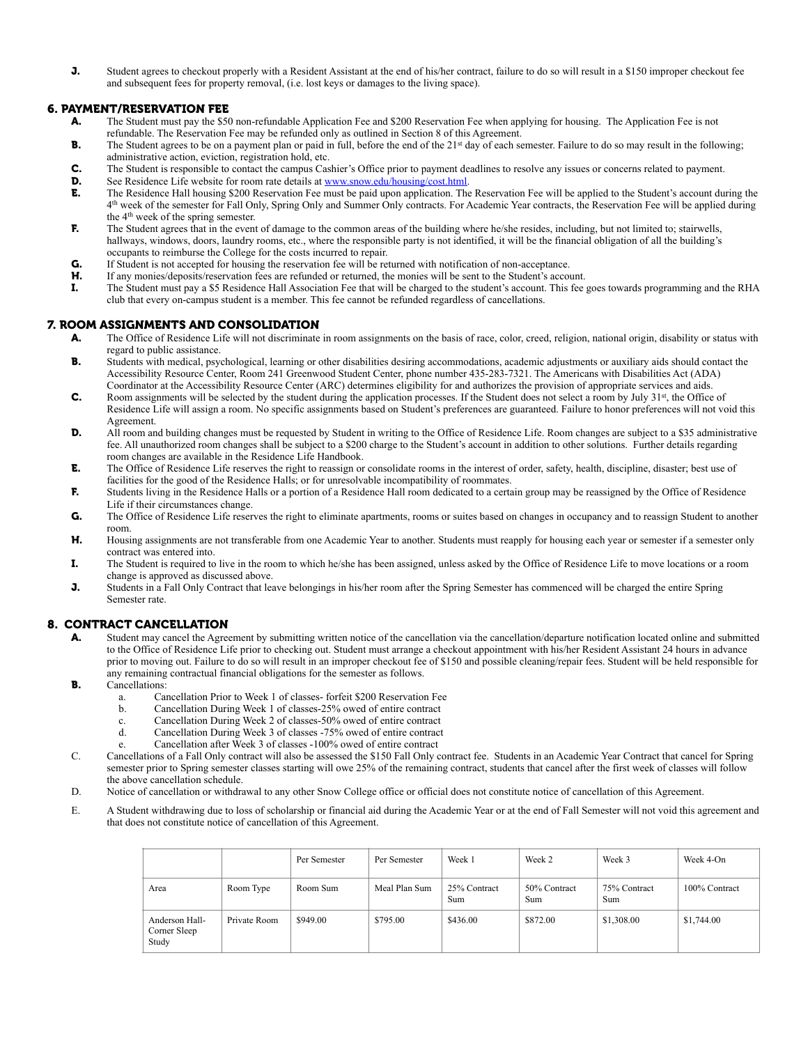J. Student agrees to checkout properly with a Resident Assistant at the end of his/her contract, failure to do so will result in a \$150 improper checkout fee and subsequent fees for property removal, (i.e. lost keys or damages to the living space).

# 6. PAYMENT/RESERVATION FEE

- A. The Student must pay the \$50 non-refundable Application Fee and \$200 Reservation Fee when applying for housing. The Application Fee is not refundable. The Reservation Fee may be refunded only as outlined in Section 8 of this Agreement.
- B. The Student agrees to be on a payment plan or paid in full, before the end of the 21<sup>st</sup> day of each semester. Failure to do so may result in the following; administrative action, eviction, registration hold, etc.
- C. The Student is responsible to contact the campus Cashier's Office prior to payment deadlines to resolve any issues or concerns related to payment.
- **D.** See Residence Life website for room rate details at [www.snow.edu/housing/cost.html](http://www.snow.edu/housing/cost.html).
- E. The Residence Hall housing \$200 Reservation Fee must be paid upon application. The Reservation Fee will be applied to the Student's account during the 4th week of the semester for Fall Only, Spring Only and Summer Only contracts. For Academic Year contracts, the Reservation Fee will be applied during the 4th week of the spring semester.
- F. The Student agrees that in the event of damage to the common areas of the building where he/she resides, including, but not limited to; stairwells, hallways, windows, doors, laundry rooms, etc., where the responsible party is not identified, it will be the financial obligation of all the building's occupants to reimburse the College for the costs incurred to repair.
- G. If Student is not accepted for housing the reservation fee will be returned with notification of non-acceptance.
- H. If any monies/deposits/reservation fees are refunded or returned, the monies will be sent to the Student's account.
- I. The Student must pay a \$5 Residence Hall Association Fee that will be charged to the student's account. This fee goes towards programming and the RHA club that every on-campus student is a member. This fee cannot be refunded regardless of cancellations.

#### 7. ROOM ASSIGNMENTS AND CONSOLIDATION

- A. The Office of Residence Life will not discriminate in room assignments on the basis of race, color, creed, religion, national origin, disability or status with regard to public assistance.
- B. Students with medical, psychological, learning or other disabilities desiring accommodations, academic adjustments or auxiliary aids should contact the Accessibility Resource Center, Room 241 Greenwood Student Center, phone number 435-283-7321. The Americans with Disabilities Act (ADA) Coordinator at the Accessibility Resource Center (ARC) determines eligibility for and authorizes the provision of appropriate services and aids.
- **C.** Room assignments will be selected by the student during the application processes. If the Student does not select a room by July  $31<sup>st</sup>$ , the Office of Residence Life will assign a room. No specific assignments based on Student's preferences are guaranteed. Failure to honor preferences will not void this Agreement.
- **D.** All room and building changes must be requested by Student in writing to the Office of Residence Life. Room changes are subject to a \$35 administrative fee. All unauthorized room changes shall be subject to a \$200 charge to the Student's account in addition to other solutions. Further details regarding room changes are available in the Residence Life Handbook.
- E. The Office of Residence Life reserves the right to reassign or consolidate rooms in the interest of order, safety, health, discipline, disaster; best use of facilities for the good of the Residence Halls; or for unresolvable incompatibility of roommates.
- F. Students living in the Residence Halls or a portion of a Residence Hall room dedicated to a certain group may be reassigned by the Office of Residence Life if their circumstances change.
- G. The Office of Residence Life reserves the right to eliminate apartments, rooms or suites based on changes in occupancy and to reassign Student to another room.
- H. Housing assignments are not transferable from one Academic Year to another. Students must reapply for housing each year or semester if a semester only contract was entered into.
- I. The Student is required to live in the room to which he/she has been assigned, unless asked by the Office of Residence Life to move locations or a room change is approved as discussed above.
- J. Students in a Fall Only Contract that leave belongings in his/her room after the Spring Semester has commenced will be charged the entire Spring Semester rate.

# 8. CONTRACT CANCELLATION

- A. Student may cancel the Agreement by submitting written notice of the cancellation via the cancellation/departure notification located online and submitted to the Office of Residence Life prior to checking out. Student must arrange a checkout appointment with his/her Resident Assistant 24 hours in advance prior to moving out. Failure to do so will result in an improper checkout fee of \$150 and possible cleaning/repair fees. Student will be held responsible for any remaining contractual financial obligations for the semester as follows.
- **B.** Cancellations:
	- a. Cancellation Prior to Week 1 of classes- forfeit \$200 Reservation Fee
	- b. Cancellation During Week 1 of classes-25% owed of entire contract
	- c. Cancellation During Week 2 of classes-50% owed of entire contract
	- d. Cancellation During Week 3 of classes -75% owed of entire contract
	- e. Cancellation after Week 3 of classes -100% owed of entire contract
- C. Cancellations of a Fall Only contract will also be assessed the \$150 Fall Only contract fee. Students in an Academic Year Contract that cancel for Spring semester prior to Spring semester classes starting will owe 25% of the remaining contract, students that cancel after the first week of classes will follow the above cancellation schedule.
- D. Notice of cancellation or withdrawal to any other Snow College office or official does not constitute notice of cancellation of this Agreement.
- E. A Student withdrawing due to loss of scholarship or financial aid during the Academic Year or at the end of Fall Semester will not void this agreement and that does not constitute notice of cancellation of this Agreement.

|                                         |              | Per Semester | Per Semester  | Week 1              | Week 2              | Week 3              | Week 4-On     |
|-----------------------------------------|--------------|--------------|---------------|---------------------|---------------------|---------------------|---------------|
| Area                                    | Room Type    | Room Sum     | Meal Plan Sum | 25% Contract<br>Sum | 50% Contract<br>Sum | 75% Contract<br>Sum | 100% Contract |
| Anderson Hall-<br>Corner Sleep<br>Study | Private Room | \$949.00     | \$795.00      | \$436.00            | \$872.00            | \$1,308.00          | \$1,744.00    |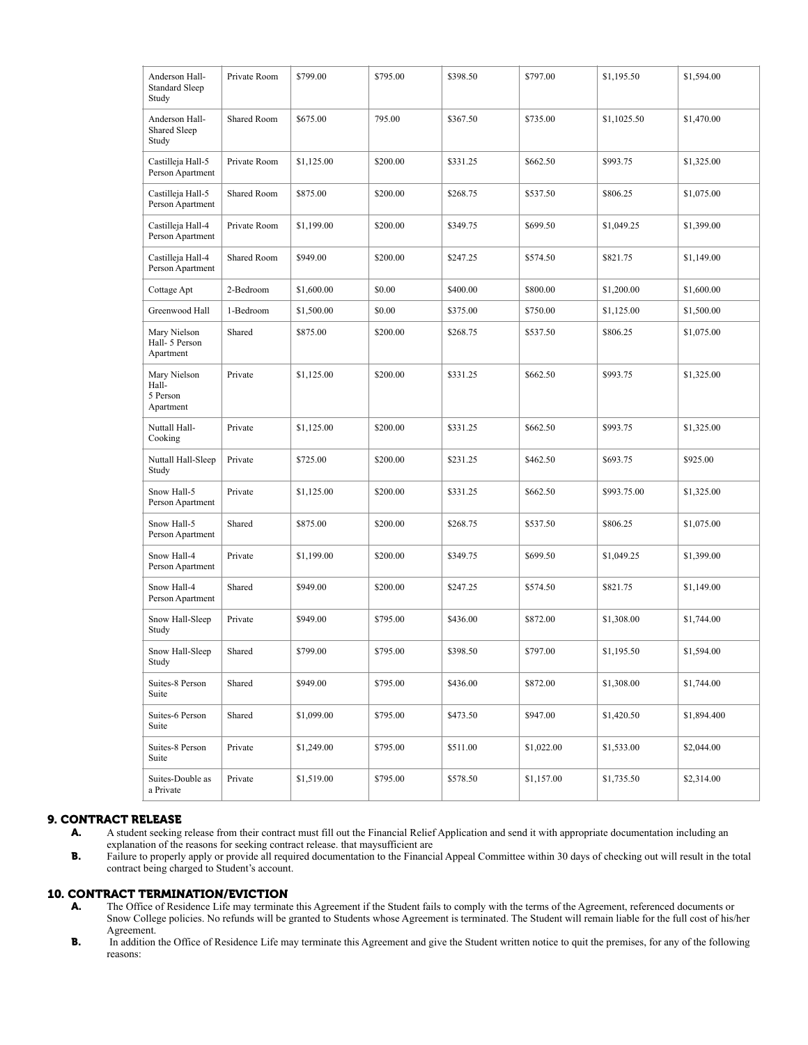| Anderson Hall-<br><b>Standard Sleep</b><br>Study | Private Room       | \$799.00   | \$795.00 | \$398.50 | \$797.00   | \$1,195.50  | \$1,594.00  |
|--------------------------------------------------|--------------------|------------|----------|----------|------------|-------------|-------------|
| Anderson Hall-<br>Shared Sleep<br>Study          | Shared Room        | \$675.00   | 795.00   | \$367.50 | \$735.00   | \$1,1025.50 | \$1,470.00  |
| Castilleja Hall-5<br>Person Apartment            | Private Room       | \$1,125.00 | \$200.00 | \$331.25 | \$662.50   | \$993.75    | \$1,325.00  |
| Castilleja Hall-5<br>Person Apartment            | Shared Room        | \$875.00   | \$200.00 | \$268.75 | \$537.50   | \$806.25    | \$1,075.00  |
| Castilleja Hall-4<br>Person Apartment            | Private Room       | \$1,199.00 | \$200.00 | \$349.75 | \$699.50   | \$1,049.25  | \$1,399.00  |
| Castilleja Hall-4<br>Person Apartment            | <b>Shared Room</b> | \$949.00   | \$200.00 | \$247.25 | \$574.50   | \$821.75    | \$1,149.00  |
| Cottage Apt                                      | 2-Bedroom          | \$1,600.00 | \$0.00   | \$400.00 | \$800.00   | \$1,200.00  | \$1,600.00  |
| Greenwood Hall                                   | 1-Bedroom          | \$1,500.00 | \$0.00   | \$375.00 | \$750.00   | \$1,125.00  | \$1,500.00  |
| Mary Nielson<br>Hall- 5 Person<br>Apartment      | Shared             | \$875.00   | \$200.00 | \$268.75 | \$537.50   | \$806.25    | \$1,075.00  |
| Mary Nielson<br>Hall-<br>5 Person<br>Apartment   | Private            | \$1,125.00 | \$200.00 | \$331.25 | \$662.50   | \$993.75    | \$1,325.00  |
| Nuttall Hall-<br>Cooking                         | Private            | \$1,125.00 | \$200.00 | \$331.25 | \$662.50   | \$993.75    | \$1,325.00  |
| Nuttall Hall-Sleep<br>Study                      | Private            | \$725.00   | \$200.00 | \$231.25 | \$462.50   | \$693.75    | \$925.00    |
| Snow Hall-5<br>Person Apartment                  | Private            | \$1,125.00 | \$200.00 | \$331.25 | \$662.50   | \$993.75.00 | \$1,325.00  |
| Snow Hall-5<br>Person Apartment                  | Shared             | \$875.00   | \$200.00 | \$268.75 | \$537.50   | \$806.25    | \$1,075.00  |
| Snow Hall-4<br>Person Apartment                  | Private            | \$1,199.00 | \$200.00 | \$349.75 | \$699.50   | \$1,049.25  | \$1,399.00  |
| Snow Hall-4<br>Person Apartment                  | Shared             | \$949.00   | \$200.00 | \$247.25 | \$574.50   | \$821.75    | \$1,149.00  |
| Snow Hall-Sleep<br>Study                         | Private            | \$949.00   | \$795.00 | \$436.00 | \$872.00   | \$1,308.00  | \$1,744.00  |
| Snow Hall-Sleep<br>Study                         | Shared             | \$799.00   | \$795.00 | \$398.50 | \$797.00   | \$1,195.50  | \$1,594.00  |
| Suites-8 Person<br>Suite                         | Shared             | \$949.00   | \$795.00 | \$436.00 | \$872.00   | \$1,308.00  | \$1,744.00  |
| Suites-6 Person<br>Suite                         | Shared             | \$1,099.00 | \$795.00 | \$473.50 | \$947.00   | \$1,420.50  | \$1,894.400 |
| Suites-8 Person<br>Suite                         | Private            | \$1,249.00 | \$795.00 | \$511.00 | \$1,022.00 | \$1,533.00  | \$2,044.00  |
| Suites-Double as<br>a Private                    | Private            | \$1,519.00 | \$795.00 | \$578.50 | \$1,157.00 | \$1,735.50  | \$2,314.00  |

# **9. CONTRACT RELEASE**<br>**A.** A student seeking

- A. A student seeking release from their contract must fill out the Financial Relief Application and send it with appropriate documentation including an explanation of the reasons for seeking contract release. that maysufficient are
- B. Failure to properly apply or provide all required documentation to the Financial Appeal Committee within 30 days of checking out will result in the total contract being charged to Student's account.

# 10. CONTRACT TERMINATION/EVICTION

- A. The Office of Residence Life may terminate this Agreement if the Student fails to comply with the terms of the Agreement, referenced documents or Snow College policies. No refunds will be granted to Students whose Agreement is terminated. The Student will remain liable for the full cost of his/her Agreement.
- B. In addition the Office of Residence Life may terminate this Agreement and give the Student written notice to quit the premises, for any of the following reasons: